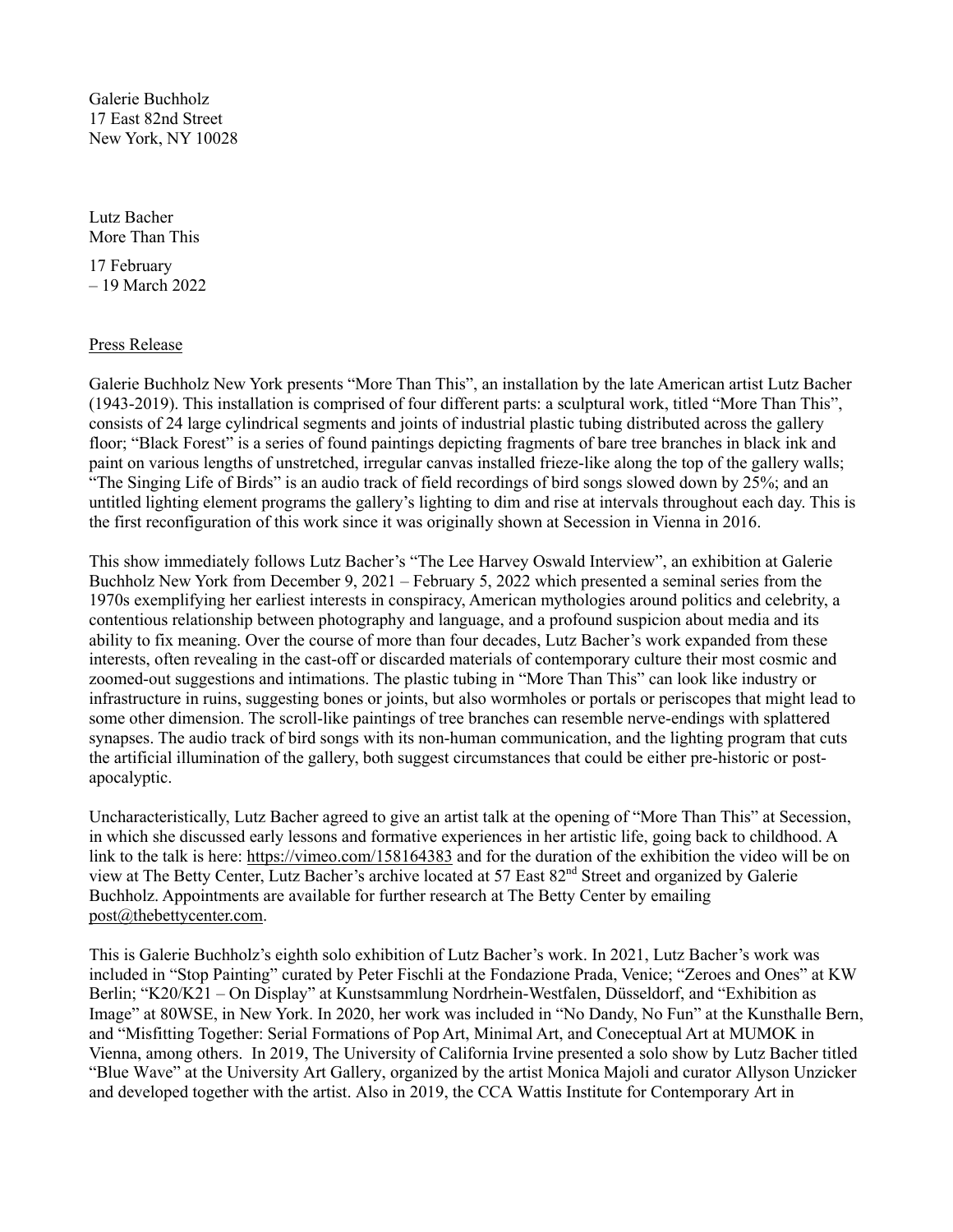Galerie Buchholz 17 East 82nd Street New York, NY 10028

Lutz Bacher More Than This

17 February – 19 March 2022

## Press Release

Galerie Buchholz New York presents "More Than This", an installation by the late American artist Lutz Bacher (1943-2019). This installation is comprised of four different parts: a sculptural work, titled "More Than This", consists of 24 large cylindrical segments and joints of industrial plastic tubing distributed across the gallery floor; "Black Forest" is a series of found paintings depicting fragments of bare tree branches in black ink and paint on various lengths of unstretched, irregular canvas installed frieze-like along the top of the gallery walls; "The Singing Life of Birds" is an audio track of field recordings of bird songs slowed down by 25%; and an untitled lighting element programs the gallery's lighting to dim and rise at intervals throughout each day. This is the first reconfiguration of this work since it was originally shown at Secession in Vienna in 2016.

This show immediately follows Lutz Bacher's "The Lee Harvey Oswald Interview", an exhibition at Galerie Buchholz New York from December 9, 2021 – February 5, 2022 which presented a seminal series from the 1970s exemplifying her earliest interests in conspiracy, American mythologies around politics and celebrity, a contentious relationship between photography and language, and a profound suspicion about media and its ability to fix meaning. Over the course of more than four decades, Lutz Bacher's work expanded from these interests, often revealing in the cast-off or discarded materials of contemporary culture their most cosmic and zoomed-out suggestions and intimations. The plastic tubing in "More Than This" can look like industry or infrastructure in ruins, suggesting bones or joints, but also wormholes or portals or periscopes that might lead to some other dimension. The scroll-like paintings of tree branches can resemble nerve-endings with splattered synapses. The audio track of bird songs with its non-human communication, and the lighting program that cuts the artificial illumination of the gallery, both suggest circumstances that could be either pre-historic or postapocalyptic.

Uncharacteristically, Lutz Bacher agreed to give an artist talk at the opening of "More Than This" at Secession, in which she discussed early lessons and formative experiences in her artistic life, going back to childhood. A link to the talk is here: https://vimeo.com/158164383 and for the duration of the exhibition the video will be on view at The Betty Center, Lutz Bacher's archive located at 57 East 82<sup>nd</sup> Street and organized by Galerie Buchholz. Appointments are available for further research at The Betty Center by emailing post@thebettycenter.com.

This is Galerie Buchholz's eighth solo exhibition of Lutz Bacher's work. In 2021, Lutz Bacher's work was included in "Stop Painting" curated by Peter Fischli at the Fondazione Prada, Venice; "Zeroes and Ones" at KW Berlin; "K20/K21 – On Display" at Kunstsammlung Nordrhein-Westfalen, Düsseldorf, and "Exhibition as Image" at 80WSE, in New York. In 2020, her work was included in "No Dandy, No Fun" at the Kunsthalle Bern, and "Misfitting Together: Serial Formations of Pop Art, Minimal Art, and Coneceptual Art at MUMOK in Vienna, among others. In 2019, The University of California Irvine presented a solo show by Lutz Bacher titled "Blue Wave" at the University Art Gallery, organized by the artist Monica Majoli and curator Allyson Unzicker and developed together with the artist. Also in 2019, the CCA Wattis Institute for Contemporary Art in